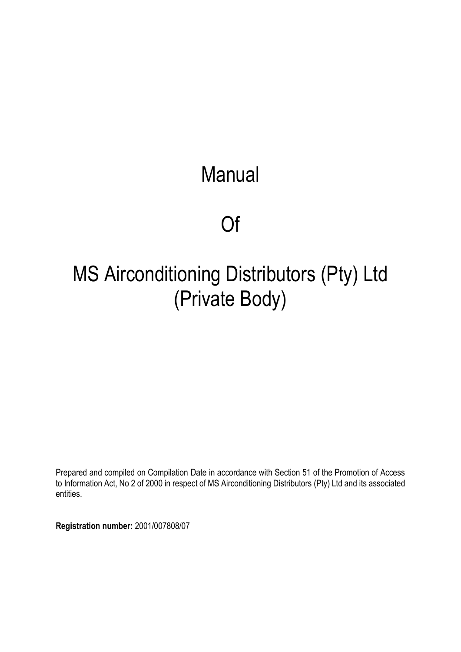# **Manual**

# Of

# MS Airconditioning Distributors (Pty) Ltd (Private Body)

Prepared and compiled on Compilation Date in accordance with Section 51 of the Promotion of Access to Information Act, No 2 of 2000 in respect of MS Airconditioning Distributors (Pty) Ltd and its associated entities.

**Registration number:** 2001/007808/07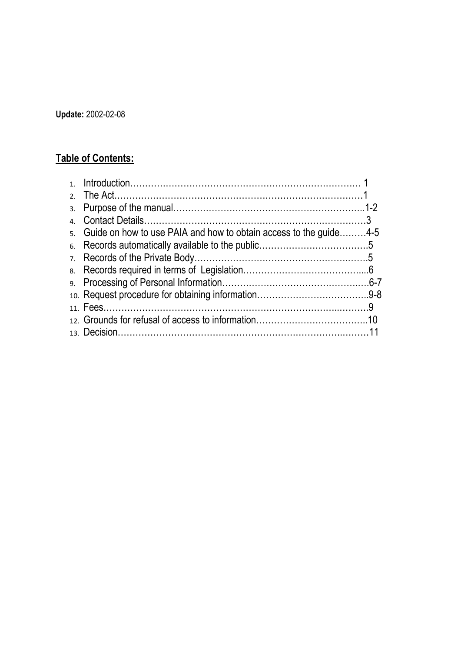**Update:** 2002-02-08

# **Table of Contents:**

| 5. Guide on how to use PAIA and how to obtain access to the quide4-5 |  |
|----------------------------------------------------------------------|--|
|                                                                      |  |
|                                                                      |  |
|                                                                      |  |
|                                                                      |  |
|                                                                      |  |
|                                                                      |  |
|                                                                      |  |
|                                                                      |  |
|                                                                      |  |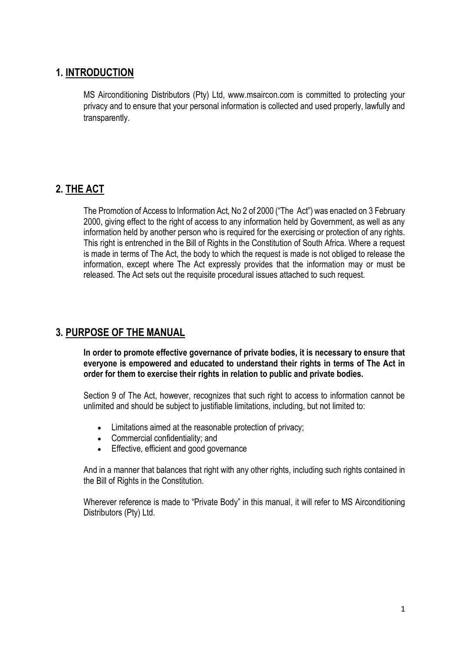# **1. INTRODUCTION**

MS Airconditioning Distributors (Pty) Ltd, www.msaircon.com is committed to protecting your privacy and to ensure that your personal information is collected and used properly, lawfully and transparently.

# **2. THE ACT**

The Promotion of Access to Information Act, No 2 of 2000 ("The Act") was enacted on 3 February 2000, giving effect to the right of access to any information held by Government, as well as any information held by another person who is required for the exercising or protection of any rights. This right is entrenched in the Bill of Rights in the Constitution of South Africa. Where a request is made in terms of The Act, the body to which the request is made is not obliged to release the information, except where The Act expressly provides that the information may or must be released. The Act sets out the requisite procedural issues attached to such request.

# **3. PURPOSE OF THE MANUAL**

**In order to promote effective governance of private bodies, it is necessary to ensure that everyone is empowered and educated to understand their rights in terms of The Act in order for them to exercise their rights in relation to public and private bodies.**

Section 9 of The Act, however, recognizes that such right to access to information cannot be unlimited and should be subject to justifiable limitations, including, but not limited to:

- Limitations aimed at the reasonable protection of privacy;
- Commercial confidentiality; and
- Effective, efficient and good governance

And in a manner that balances that right with any other rights, including such rights contained in the Bill of Rights in the Constitution.

Wherever reference is made to "Private Body" in this manual, it will refer to MS Airconditioning Distributors (Pty) Ltd.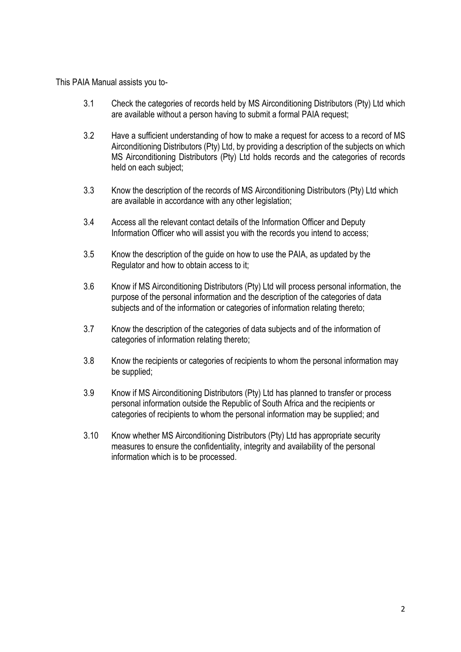This PAIA Manual assists you to-

- 3.1 Check the categories of records held by MS Airconditioning Distributors (Pty) Ltd which are available without a person having to submit a formal PAIA request;
- 3.2 Have a sufficient understanding of how to make a request for access to a record of MS Airconditioning Distributors (Pty) Ltd, by providing a description of the subjects on which MS Airconditioning Distributors (Pty) Ltd holds records and the categories of records held on each subject;
- 3.3 Know the description of the records of MS Airconditioning Distributors (Pty) Ltd which are available in accordance with any other legislation;
- 3.4 Access all the relevant contact details of the Information Officer and Deputy Information Officer who will assist you with the records you intend to access;
- 3.5 Know the description of the guide on how to use the PAIA, as updated by the Regulator and how to obtain access to it;
- 3.6 Know if MS Airconditioning Distributors (Pty) Ltd will process personal information, the purpose of the personal information and the description of the categories of data subjects and of the information or categories of information relating thereto;
- 3.7 Know the description of the categories of data subjects and of the information of categories of information relating thereto;
- 3.8 Know the recipients or categories of recipients to whom the personal information may be supplied;
- 3.9 Know if MS Airconditioning Distributors (Pty) Ltd has planned to transfer or process personal information outside the Republic of South Africa and the recipients or categories of recipients to whom the personal information may be supplied; and
- 3.10 Know whether MS Airconditioning Distributors (Pty) Ltd has appropriate security measures to ensure the confidentiality, integrity and availability of the personal information which is to be processed.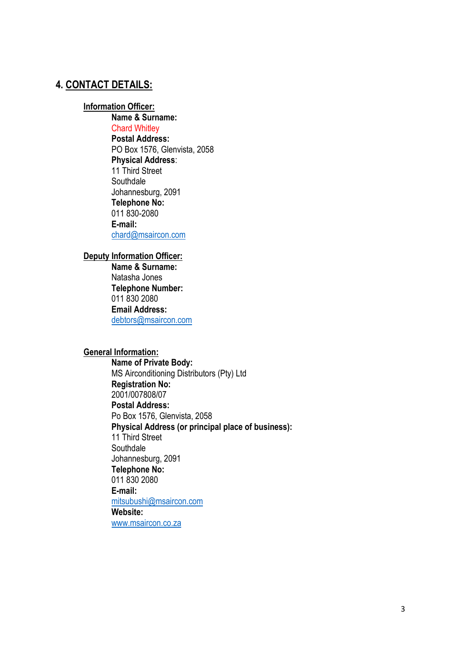# **4. CONTACT DETAILS:**

#### **Information Officer:**

**Name & Surname:** Chard Whitley **Postal Address:** PO Box 1576, Glenvista, 2058 **Physical Address**: 11 Third Street **Southdale** Johannesburg, 2091 **Telephone No:** 011 830-2080 **E-mail:** chard@msaircon.com

#### **Deputy Information Officer:**

**Name & Surname:** Natasha Jones **Telephone Number:** 011 830 2080 **Email Address:** [debtors@msaircon.com](mailto:debtors@msaircon.com)

#### **General Information:**

**Name of Private Body:** MS Airconditioning Distributors (Pty) Ltd **Registration No:** 2001/007808/07 **Postal Address:** Po Box 1576, Glenvista, 2058 **Physical Address (or principal place of business):**  11 Third Street **Southdale** Johannesburg, 2091 **Telephone No:** 011 830 2080 **E-mail:** [mitsubushi@msaircon.com](mailto:mitsubushi@msaircon.com) **Website:** www.msaircon.co.za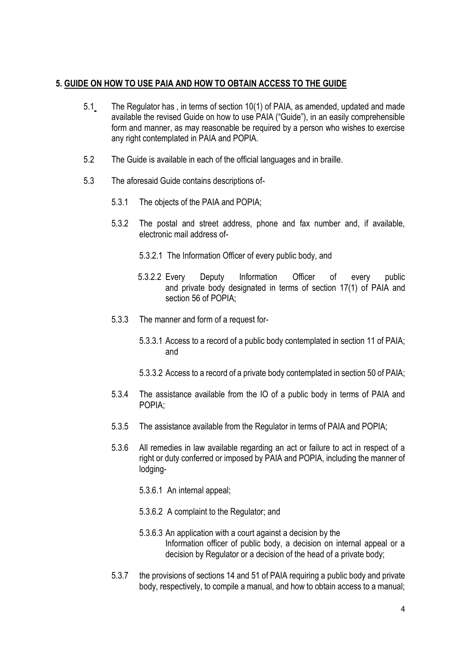#### **5. GUIDE ON HOW TO USE PAIA AND HOW TO OBTAIN ACCESS TO THE GUIDE**

- 5.1 The Regulator has , in terms of section 10(1) of PAIA, as amended, updated and made available the revised Guide on how to use PAIA ("Guide"), in an easily comprehensible form and manner, as may reasonable be required by a person who wishes to exercise any right contemplated in PAIA and POPIA.
- 5.2 The Guide is available in each of the official languages and in braille.
- 5.3 The aforesaid Guide contains descriptions of-
	- 5.3.1 The objects of the PAIA and POPIA;
	- 5.3.2 The postal and street address, phone and fax number and, if available, electronic mail address of-
		- 5.3.2.1 The Information Officer of every public body, and
		- 5.3.2.2 Every Deputy Information Officer of every public and private body designated in terms of section 17(1) of PAIA and section 56 of POPIA;
	- 5.3.3 The manner and form of a request for-
		- 5.3.3.1 Access to a record of a public body contemplated in section 11 of PAIA; and
		- 5.3.3.2 Access to a record of a private body contemplated in section 50 of PAIA;
	- 5.3.4 The assistance available from the IO of a public body in terms of PAIA and POPIA;
	- 5.3.5 The assistance available from the Regulator in terms of PAIA and POPIA;
	- 5.3.6 All remedies in law available regarding an act or failure to act in respect of a right or duty conferred or imposed by PAIA and POPIA, including the manner of lodging-
		- 5.3.6.1 An internal appeal;
		- 5.3.6.2 A complaint to the Regulator; and
		- 5.3.6.3 An application with a court against a decision by the Information officer of public body, a decision on internal appeal or a decision by Regulator or a decision of the head of a private body;
	- 5.3.7 the provisions of sections 14 and 51 of PAIA requiring a public body and private body, respectively, to compile a manual, and how to obtain access to a manual;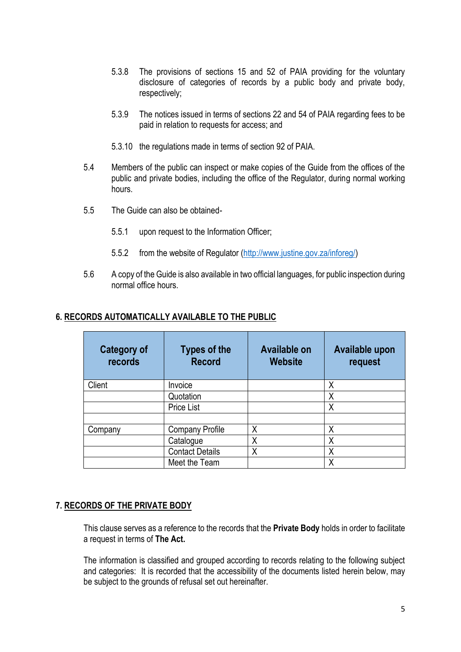- 5.3.8 The provisions of sections 15 and 52 of PAIA providing for the voluntary disclosure of categories of records by a public body and private body, respectively;
- 5.3.9 The notices issued in terms of sections 22 and 54 of PAIA regarding fees to be paid in relation to requests for access; and
- 5.3.10 the regulations made in terms of section 92 of PAIA.
- 5.4 Members of the public can inspect or make copies of the Guide from the offices of the public and private bodies, including the office of the Regulator, during normal working hours.
- 5.5 The Guide can also be obtained-
	- 5.5.1 upon request to the Information Officer;
	- 5.5.2 from the website of Regulator [\(http://www.justine.gov.za/inforeg/\)](http://www.justine.gov.za/inforeg/)
- 5.6 A copy of the Guide is also available in two official languages, for public inspection during normal office hours.

#### **6. RECORDS AUTOMATICALLY AVAILABLE TO THE PUBLIC**

| <b>Category of</b><br>records | <b>Types of the</b><br><b>Record</b> | <b>Available on</b><br><b>Website</b> | <b>Available upon</b><br>request |
|-------------------------------|--------------------------------------|---------------------------------------|----------------------------------|
| Client                        | Invoice                              |                                       | Χ                                |
|                               | Quotation                            |                                       | Χ                                |
|                               | <b>Price List</b>                    |                                       | Χ                                |
|                               |                                      |                                       |                                  |
| Company                       | <b>Company Profile</b>               | Χ                                     | Χ                                |
|                               | Catalogue                            | Χ                                     | Χ                                |
|                               | <b>Contact Details</b>               | Χ                                     | Χ                                |
|                               | Meet the Team                        |                                       | Χ                                |

## **7. RECORDS OF THE PRIVATE BODY**

This clause serves as a reference to the records that the **Private Body** holds in order to facilitate a request in terms of **The Act.**

The information is classified and grouped according to records relating to the following subject and categories: It is recorded that the accessibility of the documents listed herein below, may be subject to the grounds of refusal set out hereinafter.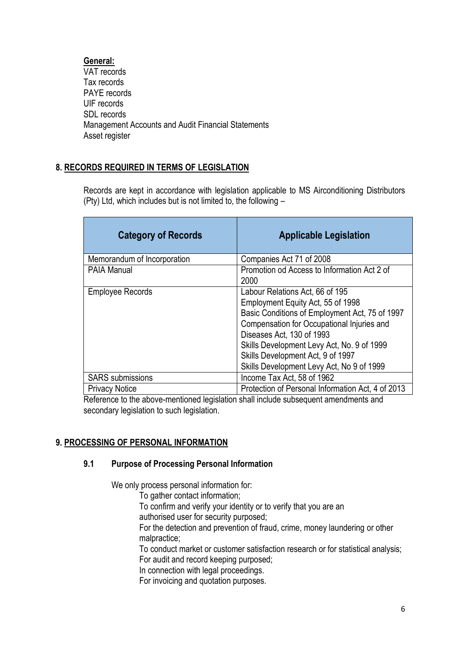# **General:**

VAT records Tax records PAYE records UIF records SDL records Management Accounts and Audit Financial Statements Asset register

# **8. RECORDS REQUIRED IN TERMS OF LEGISLATION**

Records are kept in accordance with legislation applicable to MS Airconditioning Distributors (Pty) Ltd, which includes but is not limited to, the following –

| <b>Category of Records</b>  | <b>Applicable Legislation</b>                                                                                                                                                                                                                                                                                                     |
|-----------------------------|-----------------------------------------------------------------------------------------------------------------------------------------------------------------------------------------------------------------------------------------------------------------------------------------------------------------------------------|
| Memorandum of Incorporation | Companies Act 71 of 2008                                                                                                                                                                                                                                                                                                          |
| <b>PAIA Manual</b>          | Promotion od Access to Information Act 2 of<br>2000                                                                                                                                                                                                                                                                               |
| <b>Employee Records</b>     | Labour Relations Act, 66 of 195<br>Employment Equity Act, 55 of 1998<br>Basic Conditions of Employment Act, 75 of 1997<br>Compensation for Occupational Injuries and<br>Diseases Act, 130 of 1993<br>Skills Development Levy Act, No. 9 of 1999<br>Skills Development Act, 9 of 1997<br>Skills Development Levy Act, No 9 of 1999 |
| <b>SARS</b> submissions     | Income Tax Act, 58 of 1962                                                                                                                                                                                                                                                                                                        |
| <b>Privacy Notice</b>       | Protection of Personal Information Act, 4 of 2013                                                                                                                                                                                                                                                                                 |

Reference to the above-mentioned legislation shall include subsequent amendments and secondary legislation to such legislation.

# **9. PROCESSING OF PERSONAL INFORMATION**

## **9.1 Purpose of Processing Personal Information**

We only process personal information for:

To gather contact information;

To confirm and verify your identity or to verify that you are an

authorised user for security purposed;

For the detection and prevention of fraud, crime, money laundering or other malpractice;

To conduct market or customer satisfaction research or for statistical analysis; For audit and record keeping purposed;

In connection with legal proceedings.

For invoicing and quotation purposes.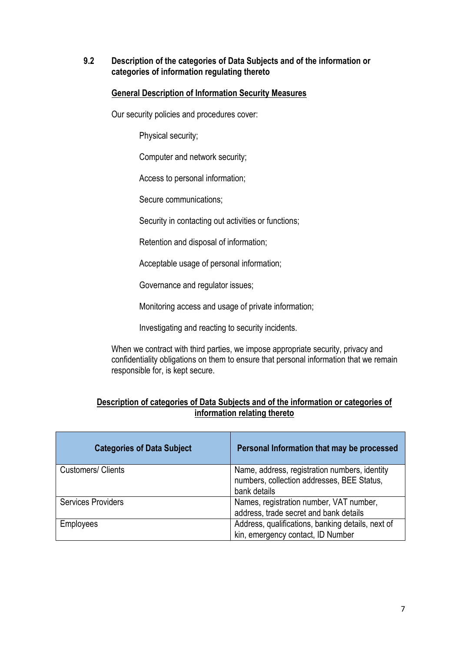### **9.2 Description of the categories of Data Subjects and of the information or categories of information regulating thereto**

# **General Description of Information Security Measures**

Our security policies and procedures cover:

Physical security;

Computer and network security;

Access to personal information;

Secure communications;

Security in contacting out activities or functions;

Retention and disposal of information;

Acceptable usage of personal information;

Governance and regulator issues;

Monitoring access and usage of private information;

Investigating and reacting to security incidents.

When we contract with third parties, we impose appropriate security, privacy and confidentiality obligations on them to ensure that personal information that we remain responsible for, is kept secure.

# **Description of categories of Data Subjects and of the information or categories of information relating thereto**

| <b>Categories of Data Subject</b> | Personal Information that may be processed                                                                  |
|-----------------------------------|-------------------------------------------------------------------------------------------------------------|
| <b>Customers/ Clients</b>         | Name, address, registration numbers, identity<br>numbers, collection addresses, BEE Status,<br>bank details |
| <b>Services Providers</b>         | Names, registration number, VAT number,<br>address, trade secret and bank details                           |
| <b>Employees</b>                  | Address, qualifications, banking details, next of<br>kin, emergency contact, ID Number                      |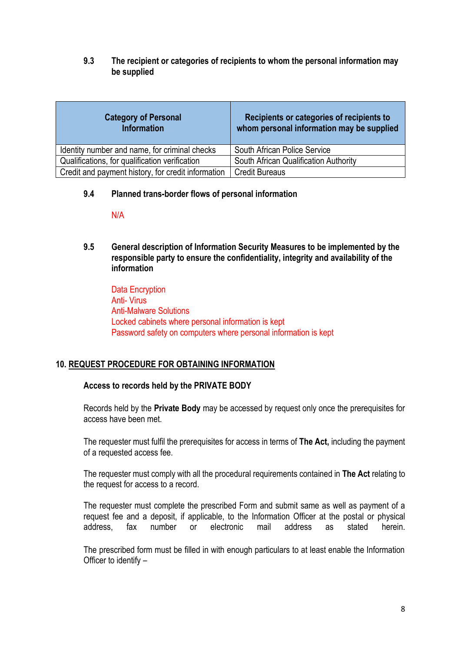**9.3 The recipient or categories of recipients to whom the personal information may be supplied** 

| <b>Category of Personal</b><br><b>Information</b>  | Recipients or categories of recipients to<br>whom personal information may be supplied |
|----------------------------------------------------|----------------------------------------------------------------------------------------|
| Identity number and name, for criminal checks      | <b>South African Police Service</b>                                                    |
| Qualifications, for qualification verification     | South African Qualification Authority                                                  |
| Credit and payment history, for credit information | <b>Credit Bureaus</b>                                                                  |

#### **9.4 Planned trans-border flows of personal information**

N/A

**9.5 General description of Information Security Measures to be implemented by the responsible party to ensure the confidentiality, integrity and availability of the information** 

Data Encryption Anti- Virus Anti-Malware Solutions Locked cabinets where personal information is kept Password safety on computers where personal information is kept

## **10. REQUEST PROCEDURE FOR OBTAINING INFORMATION**

## **Access to records held by the PRIVATE BODY**

Records held by the **Private Body** may be accessed by request only once the prerequisites for access have been met.

The requester must fulfil the prerequisites for access in terms of **The Act,** including the payment of a requested access fee.

The requester must comply with all the procedural requirements contained in **The Act** relating to the request for access to a record.

The requester must complete the prescribed Form and submit same as well as payment of a request fee and a deposit, if applicable, to the Information Officer at the postal or physical address, fax number or electronic mail address as stated herein.

The prescribed form must be filled in with enough particulars to at least enable the Information Officer to identify –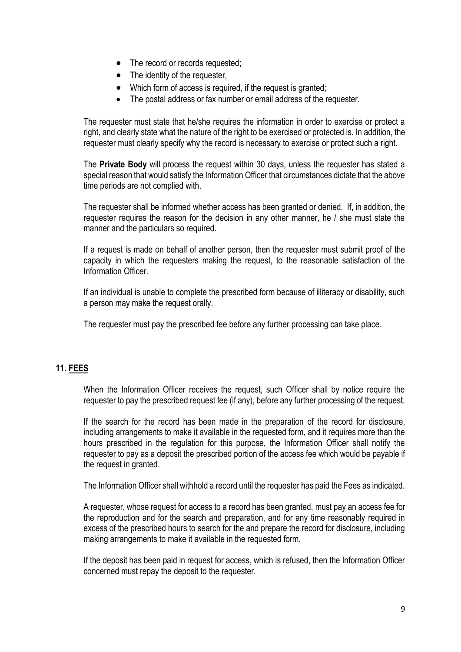- The record or records requested;
- The identity of the requester,
- Which form of access is required, if the request is granted;
- The postal address or fax number or email address of the requester.

The requester must state that he/she requires the information in order to exercise or protect a right, and clearly state what the nature of the right to be exercised or protected is. In addition, the requester must clearly specify why the record is necessary to exercise or protect such a right.

The **Private Body** will process the request within 30 days, unless the requester has stated a special reason that would satisfy the Information Officer that circumstances dictate that the above time periods are not complied with.

The requester shall be informed whether access has been granted or denied. If, in addition, the requester requires the reason for the decision in any other manner, he / she must state the manner and the particulars so required.

If a request is made on behalf of another person, then the requester must submit proof of the capacity in which the requesters making the request, to the reasonable satisfaction of the Information Officer.

If an individual is unable to complete the prescribed form because of illiteracy or disability, such a person may make the request orally.

The requester must pay the prescribed fee before any further processing can take place.

# **11. FEES**

When the Information Officer receives the request, such Officer shall by notice require the requester to pay the prescribed request fee (if any), before any further processing of the request.

If the search for the record has been made in the preparation of the record for disclosure, including arrangements to make it available in the requested form, and it requires more than the hours prescribed in the regulation for this purpose, the Information Officer shall notify the requester to pay as a deposit the prescribed portion of the access fee which would be payable if the request in granted.

The Information Officer shall withhold a record until the requester has paid the Fees as indicated.

A requester, whose request for access to a record has been granted, must pay an access fee for the reproduction and for the search and preparation, and for any time reasonably required in excess of the prescribed hours to search for the and prepare the record for disclosure, including making arrangements to make it available in the requested form.

If the deposit has been paid in request for access, which is refused, then the Information Officer concerned must repay the deposit to the requester.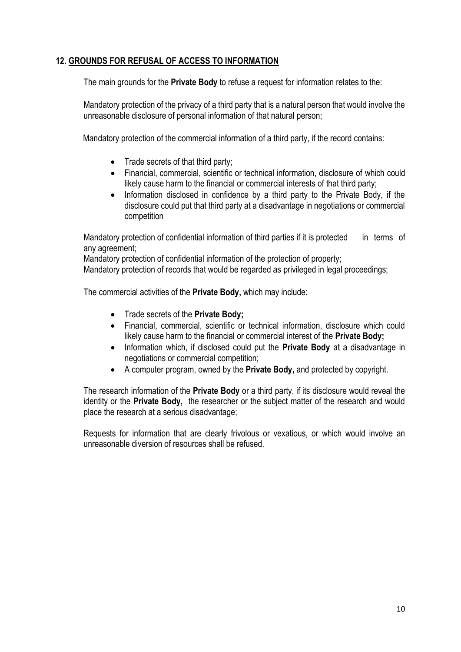# **12. GROUNDS FOR REFUSAL OF ACCESS TO INFORMATION**

The main grounds for the **Private Body** to refuse a request for information relates to the:

Mandatory protection of the privacy of a third party that is a natural person that would involve the unreasonable disclosure of personal information of that natural person;

Mandatory protection of the commercial information of a third party, if the record contains:

- Trade secrets of that third party;
- Financial, commercial, scientific or technical information, disclosure of which could likely cause harm to the financial or commercial interests of that third party;
- Information disclosed in confidence by a third party to the Private Body, if the disclosure could put that third party at a disadvantage in negotiations or commercial competition

Mandatory protection of confidential information of third parties if it is protected in terms of any agreement;

Mandatory protection of confidential information of the protection of property;

Mandatory protection of records that would be regarded as privileged in legal proceedings;

The commercial activities of the **Private Body,** which may include:

- Trade secrets of the **Private Body;**
- Financial, commercial, scientific or technical information, disclosure which could likely cause harm to the financial or commercial interest of the **Private Body;**
- Information which, if disclosed could put the **Private Body** at a disadvantage in negotiations or commercial competition;
- A computer program, owned by the **Private Body,** and protected by copyright.

The research information of the **Private Body** or a third party, if its disclosure would reveal the identity or the **Private Body,** the researcher or the subject matter of the research and would place the research at a serious disadvantage;

Requests for information that are clearly frivolous or vexatious, or which would involve an unreasonable diversion of resources shall be refused.